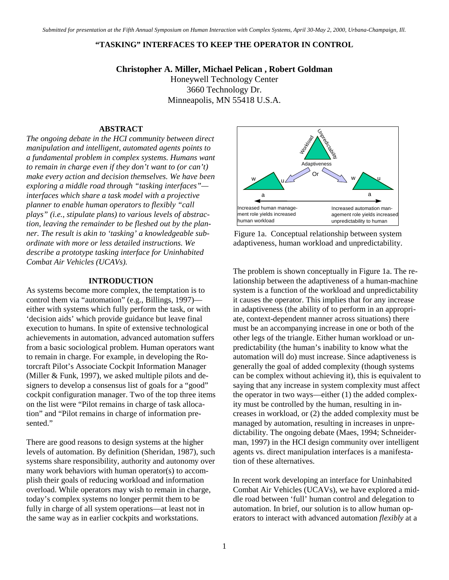#### **"TASKING" INTERFACES TO KEEP THE OPERATOR IN CONTROL**

**Christopher A. Miller, Michael Pelican , Robert Goldman**  Honeywell Technology Center 3660 Technology Dr. Minneapolis, MN 55418 U.S.A.

## **ABSTRACT**

*The ongoing debate in the HCI community between direct manipulation and intelligent, automated agents points to a fundamental problem in complex systems. Humans want to remain in charge even if they don't want to (or can't) make every action and decision themselves. We have been exploring a middle road through "tasking interfaces" interfaces which share a task model with a projective planner to enable human operators to flexibly "call plays" (i.e., stipulate plans) to various levels of abstraction, leaving the remainder to be fleshed out by the planner. The result is akin to 'tasking' a knowledgeable subordinate with more or less detailed instructions. We describe a prototype tasking interface for Uninhabited Combat Air Vehicles (UCAVs).* 

#### **INTRODUCTION**

As systems become more complex, the temptation is to control them via "automation" (e.g., Billings, 1997) either with systems which fully perform the task, or with 'decision aids' which provide guidance but leave final execution to humans. In spite of extensive technological achievements in automation, advanced automation suffers from a basic sociological problem. Human operators want to remain in charge. For example, in developing the Rotorcraft Pilot's Associate Cockpit Information Manager (Miller & Funk, 1997), we asked multiple pilots and designers to develop a consensus list of goals for a "good" cockpit configuration manager. Two of the top three items on the list were "Pilot remains in charge of task allocation" and "Pilot remains in charge of information presented."

There are good reasons to design systems at the higher levels of automation. By definition (Sheridan, 1987), such systems share responsibility, authority and autonomy over many work behaviors with human operator(s) to accomplish their goals of reducing workload and information overload. While operators may wish to remain in charge, today's complex systems no longer permit them to be fully in charge of all system operations—at least not in the same way as in earlier cockpits and workstations.



Figure 1a. Conceptual relationship between system adaptiveness, human workload and unpredictability.

The problem is shown conceptually in Figure 1a. The relationship between the adaptiveness of a human-machine system is a function of the workload and unpredictability it causes the operator. This implies that for any increase in adaptiveness (the ability of to perform in an appropriate, context-dependent manner across situations) there must be an accompanying increase in one or both of the other legs of the triangle. Either human workload or unpredictability (the human's inability to know what the automation will do) must increase. Since adaptiveness is generally the goal of added complexity (though systems can be complex without achieving it), this is equivalent to saying that any increase in system complexity must affect the operator in two ways—either (1) the added complexity must be controlled by the human, resulting in increases in workload, or (2) the added complexity must be managed by automation, resulting in increases in unpredictability. The ongoing debate (Maes, 1994; Schneiderman, 1997) in the HCI design community over intelligent agents vs. direct manipulation interfaces is a manifestation of these alternatives.

In recent work developing an interface for Uninhabited Combat Air Vehicles (UCAVs), we have explored a middle road between 'full' human control and delegation to automation. In brief, our solution is to allow human operators to interact with advanced automation *flexibly* at a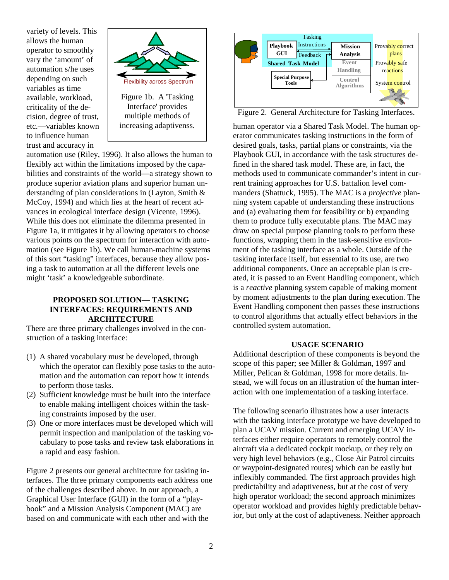variety of levels. This allows the human operator to smoothly vary the 'amount' of automation s/he uses depending on such variables as time available, workload, criticality of the decision, degree of trust, etc.—variables known to influence human trust and accuracy in



automation use (Riley, 1996). It also allows the human to flexibly act within the limitations imposed by the capabilities and constraints of the world—a strategy shown to produce superior aviation plans and superior human understanding of plan considerations in (Layton, Smith & McCoy, 1994) and which lies at the heart of recent advances in ecological interface design (Vicente, 1996). While this does not eliminate the dilemma presented in Figure 1a, it mitigates it by allowing operators to choose various points on the spectrum for interaction with automation (see Figure 1b). We call human-machine systems of this sort "tasking" interfaces, because they allow posing a task to automation at all the different levels one might 'task' a knowledgeable subordinate.

## **PROPOSED SOLUTION— TASKING INTERFACES: REQUIREMENTS AND ARCHITECTURE**

There are three primary challenges involved in the construction of a tasking interface:

- (1) A shared vocabulary must be developed, through which the operator can flexibly pose tasks to the automation and the automation can report how it intends to perform those tasks.
- (2) Sufficient knowledge must be built into the interface to enable making intelligent choices within the tasking constraints imposed by the user.
- (3) One or more interfaces must be developed which will permit inspection and manipulation of the tasking vocabulary to pose tasks and review task elaborations in a rapid and easy fashion.

Figure 2 presents our general architecture for tasking interfaces. The three primary components each address one of the challenges described above. In our approach, a Graphical User Interface (GUI) in the form of a "playbook" and a Mission Analysis Component (MAC) are based on and communicate with each other and with the



Figure 2. General Architecture for Tasking Interfaces.

human operator via a Shared Task Model. The human operator communicates tasking instructions in the form of desired goals, tasks, partial plans or constraints, via the Playbook GUI, in accordance with the task structures defined in the shared task model. These are, in fact, the methods used to communicate commander's intent in current training approaches for U.S. battalion level commanders (Shattuck, 1995). The MAC is a *projective* planning system capable of understanding these instructions and (a) evaluating them for feasibility or b) expanding them to produce fully executable plans. The MAC may draw on special purpose planning tools to perform these functions, wrapping them in the task-sensitive environment of the tasking interface as a whole. Outside of the tasking interface itself, but essential to its use, are two additional components. Once an acceptable plan is created, it is passed to an Event Handling component, which is a *reactive* planning system capable of making moment by moment adjustments to the plan during execution. The Event Handling component then passes these instructions to control algorithms that actually effect behaviors in the controlled system automation.

## **USAGE SCENARIO**

Additional description of these components is beyond the scope of this paper; see Miller & Goldman, 1997 and Miller, Pelican & Goldman, 1998 for more details. Instead, we will focus on an illustration of the human interaction with one implementation of a tasking interface.

The following scenario illustrates how a user interacts with the tasking interface prototype we have developed to plan a UCAV mission. Current and emerging UCAV interfaces either require operators to remotely control the aircraft via a dedicated cockpit mockup, or they rely on very high level behaviors (e.g., Close Air Patrol circuits or waypoint-designated routes) which can be easily but inflexibly commanded. The first approach provides high predictability and adaptiveness, but at the cost of very high operator workload; the second approach minimizes operator workload and provides highly predictable behavior, but only at the cost of adaptiveness. Neither approach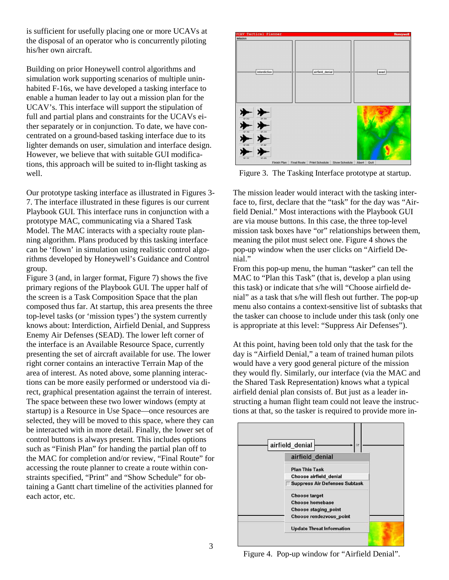is sufficient for usefully placing one or more UCAVs at the disposal of an operator who is concurrently piloting his/her own aircraft.

Building on prior Honeywell control algorithms and simulation work supporting scenarios of multiple uninhabited F-16s, we have developed a tasking interface to enable a human leader to lay out a mission plan for the UCAV's. This interface will support the stipulation of full and partial plans and constraints for the UCAVs either separately or in conjunction. To date, we have concentrated on a ground-based tasking interface due to its lighter demands on user, simulation and interface design. However, we believe that with suitable GUI modifications, this approach will be suited to in-flight tasking as well.

Our prototype tasking interface as illustrated in Figures 3- 7. The interface illustrated in these figures is our current Playbook GUI. This interface runs in conjunction with a prototype MAC, communicating via a Shared Task Model. The MAC interacts with a specialty route planning algorithm. Plans produced by this tasking interface can be 'flown' in simulation using realistic control algorithms developed by Honeywell's Guidance and Control group.

Figure 3 (and, in larger format, Figure 7) shows the five primary regions of the Playbook GUI. The upper half of the screen is a Task Composition Space that the plan composed thus far. At startup, this area presents the three top-level tasks (or 'mission types') the system currently knows about: Interdiction, Airfield Denial, and Suppress Enemy Air Defenses (SEAD). The lower left corner of the interface is an Available Resource Space, currently presenting the set of aircraft available for use. The lower right corner contains an interactive Terrain Map of the area of interest. As noted above, some planning interactions can be more easily performed or understood via direct, graphical presentation against the terrain of interest. The space between these two lower windows (empty at startup) is a Resource in Use Space—once resources are selected, they will be moved to this space, where they can be interacted with in more detail. Finally, the lower set of control buttons is always present. This includes options such as "Finish Plan" for handing the partial plan off to the MAC for completion and/or review, "Final Route" for accessing the route planner to create a route within constraints specified, "Print" and "Show Schedule" for obtaining a Gantt chart timeline of the activities planned for each actor, etc.



Figure 3. The Tasking Interface prototype at startup.

The mission leader would interact with the tasking interface to, first, declare that the "task" for the day was "Airfield Denial." Most interactions with the Playbook GUI are via mouse buttons. In this case, the three top-level mission task boxes have "or" relationships between them, meaning the pilot must select one. Figure 4 shows the pop-up window when the user clicks on "Airfield Denial."

From this pop-up menu, the human "tasker" can tell the MAC to "Plan this Task" (that is, develop a plan using this task) or indicate that s/he will "Choose airfield denial" as a task that s/he will flesh out further. The pop-up menu also contains a context-sensitive list of subtasks that the tasker can choose to include under this task (only one is appropriate at this level: "Suppress Air Defenses").

At this point, having been told only that the task for the day is "Airfield Denial," a team of trained human pilots would have a very good general picture of the mission they would fly. Similarly, our interface (via the MAC and the Shared Task Representation) knows what a typical airfield denial plan consists of. But just as a leader instructing a human flight team could not leave the instructions at that, so the tasker is required to provide more in-

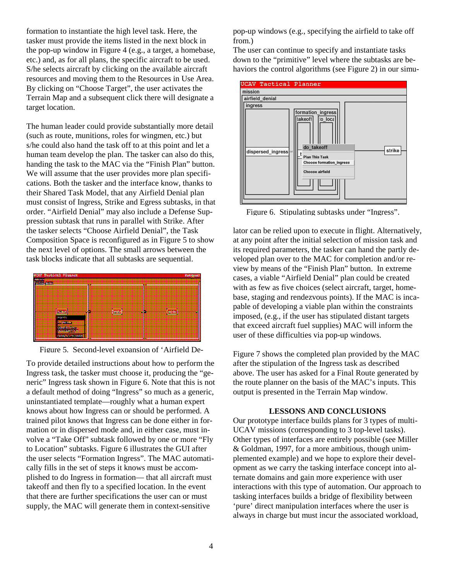formation to instantiate the high level task. Here, the tasker must provide the items listed in the next block in the pop-up window in Figure 4 (e.g., a target, a homebase, etc.) and, as for all plans, the specific aircraft to be used. S/he selects aircraft by clicking on the available aircraft resources and moving them to the Resources in Use Area. By clicking on "Choose Target", the user activates the Terrain Map and a subsequent click there will designate a target location.

The human leader could provide substantially more detail (such as route, munitions, roles for wingmen, etc.) but s/he could also hand the task off to at this point and let a human team develop the plan. The tasker can also do this, handing the task to the MAC via the "Finish Plan" button. We will assume that the user provides more plan specifications. Both the tasker and the interface know, thanks to their Shared Task Model, that any Airfield Denial plan must consist of Ingress, Strike and Egress subtasks, in that order. "Airfield Denial" may also include a Defense Suppression subtask that runs in parallel with Strike. After the tasker selects "Choose Airfield Denial", the Task Composition Space is reconfigured as in Figure 5 to show the next level of options. The small arrows between the task blocks indicate that all subtasks are sequential.



Figure 5. Second-level expansion of 'Airfield De-

To provide detailed instructions about how to perform the Ingress task, the tasker must choose it, producing the "generic" Ingress task shown in Figure 6. Note that this is not a default method of doing "Ingress" so much as a generic, uninstantiated template—roughly what a human expert knows about how Ingress can or should be performed. A trained pilot knows that Ingress can be done either in formation or in dispersed mode and, in either case, must involve a "Take Off" subtask followed by one or more "Fly to Location" subtasks. Figure 6 illustrates the GUI after the user selects "Formation Ingress". The MAC automatically fills in the set of steps it knows must be accomplished to do Ingress in formation— that all aircraft must takeoff and then fly to a specified location. In the event that there are further specifications the user can or must supply, the MAC will generate them in context-sensitive

pop-up windows (e.g., specifying the airfield to take off from.)

The user can continue to specify and instantiate tasks down to the "primitive" level where the subtasks are behaviors the control algorithms (see Figure 2) in our simu-



Figure 6. Stipulating subtasks under "Ingress".

lator can be relied upon to execute in flight. Alternatively, at any point after the initial selection of mission task and its required parameters, the tasker can hand the partly developed plan over to the MAC for completion and/or review by means of the "Finish Plan" button. In extreme cases, a viable "Airfield Denial" plan could be created with as few as five choices (select aircraft, target, homebase, staging and rendezvous points). If the MAC is incapable of developing a viable plan within the constraints imposed, (e.g., if the user has stipulated distant targets that exceed aircraft fuel supplies) MAC will inform the user of these difficulties via pop-up windows.

Figure 7 shows the completed plan provided by the MAC after the stipulation of the Ingress task as described above. The user has asked for a Final Route generated by the route planner on the basis of the MAC's inputs. This output is presented in the Terrain Map window.

# **LESSONS AND CONCLUSIONS**

Our prototype interface builds plans for 3 types of multi-UCAV missions (corresponding to 3 top-level tasks). Other types of interfaces are entirely possible (see Miller & Goldman, 1997, for a more ambitious, though unimplemented example) and we hope to explore their development as we carry the tasking interface concept into alternate domains and gain more experience with user interactions with this type of automation. Our approach to tasking interfaces builds a bridge of flexibility between 'pure' direct manipulation interfaces where the user is always in charge but must incur the associated workload,